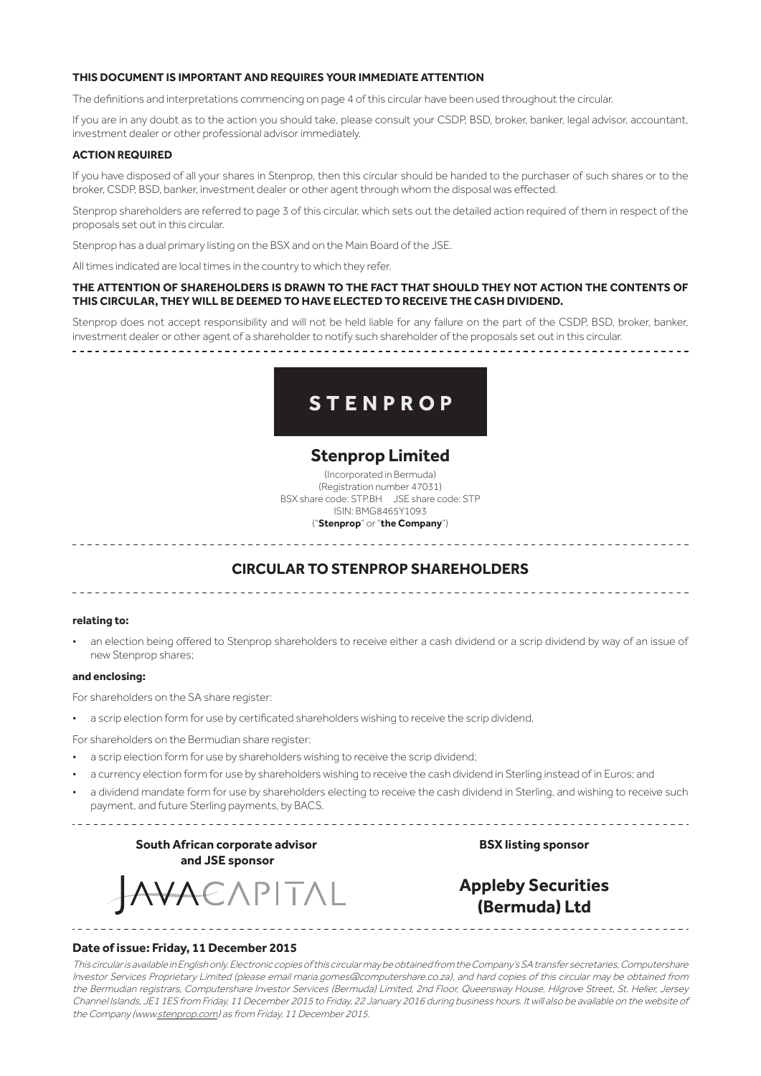#### **THIS DOCUMENT IS IMPORTANT AND REQUIRES YOUR IMMEDIATE ATTENTION**

The definitions and interpretations commencing on page 4 of this circular have been used throughout the circular.

If you are in any doubt as to the action you should take, please consult your CSDP, BSD, broker, banker, legal advisor, accountant, investment dealer or other professional advisor immediately.

#### **ACTION REQUIRED**

If you have disposed of all your shares in Stenprop, then this circular should be handed to the purchaser of such shares or to the broker, CSDP, BSD, banker, investment dealer or other agent through whom the disposal was effected.

Stenprop shareholders are referred to page 3 of this circular, which sets out the detailed action required of them in respect of the proposals set out in this circular.

Stenprop has a dual primary listing on the BSX and on the Main Board of the JSE.

All times indicated are local times in the country to which they refer.

#### **THE ATTENTION OF SHAREHOLDERS IS DRAWN TO THE FACT THAT SHOULD THEY NOT ACTION THE CONTENTS OF THIS CIRCULAR, THEY WILL BE DEEMED TO HAVE ELECTED TO RECEIVE THE CASH DIVIDEND.**

Stenprop does not accept responsibility and will not be held liable for any failure on the part of the CSDP, BSD, broker, banker, investment dealer or other agent of a shareholder to notify such shareholder of the proposals set out in this circular.

# **STENPROP**

# **Stenprop Limited**

(Incorporated in Bermuda) (Registration number 47031) BSX share code: STP.BH JSE share code: STP ISIN: BMG8465Y1093 ("**Stenprop**" or "**the Company**")

# **CIRCULAR TO STENPROP SHAREHOLDERS**

### **relating to:**

an election being offered to Stenprop shareholders to receive either a cash dividend or a scrip dividend by way of an issue of new Stenprop shares;

#### **and enclosing:**

For shareholders on the SA share register:

a scrip election form for use by certificated shareholders wishing to receive the scrip dividend.

For shareholders on the Bermudian share register:

- a scrip election form for use by shareholders wishing to receive the scrip dividend;
- a currency election form for use by shareholders wishing to receive the cash dividend in Sterling instead of in Euros; and
- a dividend mandate form for use by shareholders electing to receive the cash dividend in Sterling, and wishing to receive such payment, and future Sterling payments, by BACS.

**South African corporate advisor and JSE sponsor**

EAPITAL

**BSX listing sponsor**

# **Appleby Securities (Bermuda) Ltd**

#### **Date of issue: Friday, 11 December 2015**

This circular is available in English only. Electronic copies of this circular may be obtained from the Company's SA transfer secretaries, Computershare Investor Services Proprietary Limited (please email maria.gomes@computershare.co.za), and hard copies of this circular may be obtained from the Bermudian registrars, Computershare Investor Services (Bermuda) Limited, 2nd Floor, Queensway House, Hilgrove Street, St. Helier, Jersey Channel Islands, JE1 1ES from Friday, 11 December 2015 to Friday, 22 January 2016 during business hours. It will also be available on the website of the Company (www.stenprop.com) as from Friday, 11 December 2015.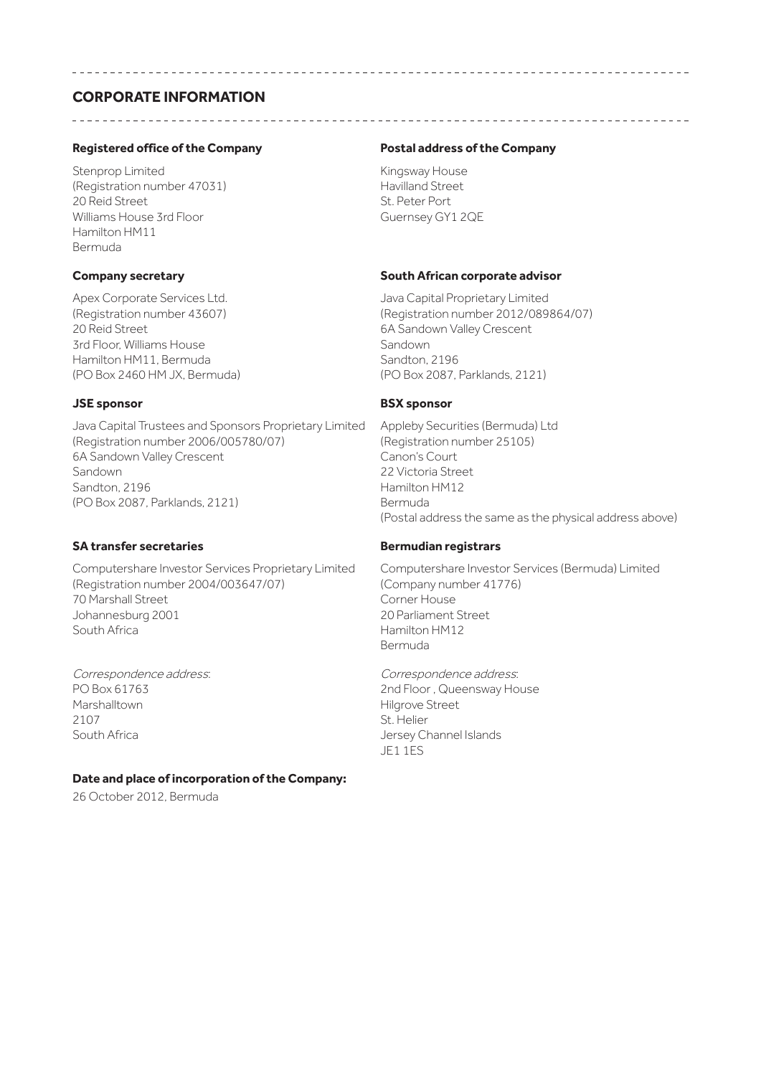# **CORPORATE INFORMATION**

# **Registered office of the Company**

Stenprop Limited (Registration number 47031) 20 Reid Street Williams House 3rd Floor Hamilton HM11 Bermuda

### **Company secretary**

Apex Corporate Services Ltd. (Registration number 43607) 20 Reid Street 3rd Floor, Williams House Hamilton HM11, Bermuda (PO Box 2460 HM JX, Bermuda)

### **JSE sponsor**

Java Capital Trustees and Sponsors Proprietary Limited (Registration number 2006/005780/07) 6A Sandown Valley Crescent Sandown Sandton, 2196 (PO Box 2087, Parklands, 2121)

# **SA transfer secretaries**

Computershare Investor Services Proprietary Limited (Registration number 2004/003647/07) 70 Marshall Street Johannesburg 2001 South Africa

Correspondence address: PO Box 61763 Marshalltown 2107 South Africa

# **Date and place of incorporation of the Company:**

26 October 2012, Bermuda

### **Postal address of the Company**

Kingsway House Havilland Street St. Peter Port Guernsey GY1 2QE

### **South African corporate advisor**

Java Capital Proprietary Limited (Registration number 2012/089864/07) 6A Sandown Valley Crescent Sandown Sandton, 2196 (PO Box 2087, Parklands, 2121)

### **BSX sponsor**

Appleby Securities (Bermuda) Ltd (Registration number 25105) Canon's Court 22 Victoria Street Hamilton HM12 Bermuda (Postal address the same as the physical address above)

# **Bermudian registrars**

Computershare Investor Services (Bermuda) Limited (Company number 41776) Corner House 20 Parliament Street Hamilton HM12 Bermuda

Correspondence address: 2nd Floor , Queensway House Hilgrove Street St. Helier Jersey Channel Islands JE1 1ES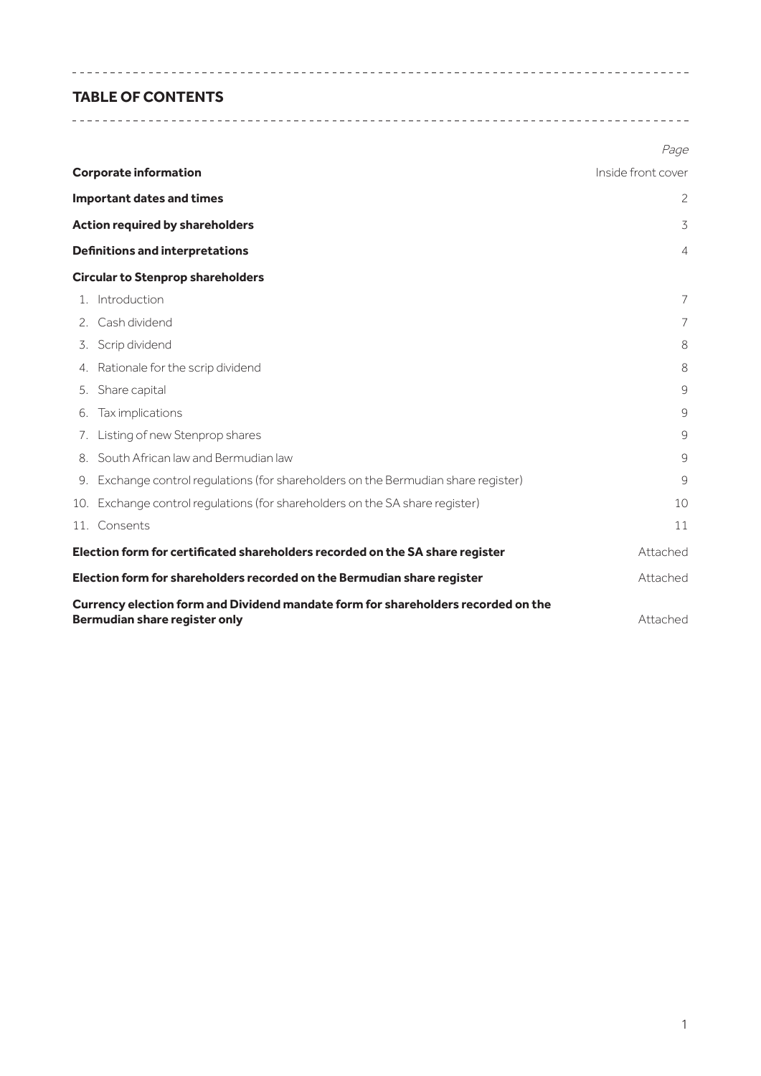# **TABLE OF CONTENTS**

|                              |                                                                                                                    | Page               |
|------------------------------|--------------------------------------------------------------------------------------------------------------------|--------------------|
| <b>Corporate information</b> |                                                                                                                    | Inside front cover |
|                              | <b>Important dates and times</b>                                                                                   | 2                  |
|                              | <b>Action required by shareholders</b>                                                                             | 3                  |
|                              | <b>Definitions and interpretations</b>                                                                             | 4                  |
|                              | <b>Circular to Stenprop shareholders</b>                                                                           |                    |
|                              | 1. Introduction                                                                                                    | $\overline{7}$     |
|                              | 2. Cash dividend                                                                                                   | $\overline{7}$     |
|                              | 3. Scrip dividend                                                                                                  | 8                  |
|                              | 4. Rationale for the scrip dividend                                                                                | 8                  |
|                              | 5. Share capital                                                                                                   | 9                  |
|                              | 6. Tax implications                                                                                                | 9                  |
|                              | 7. Listing of new Stenprop shares                                                                                  | 9                  |
|                              | 8. South African law and Bermudian law                                                                             | 9                  |
|                              | 9. Exchange control regulations (for shareholders on the Bermudian share register)                                 | 9                  |
|                              | 10. Exchange control regulations (for shareholders on the SA share register)                                       | 10                 |
|                              | 11. Consents                                                                                                       | 11                 |
|                              | Election form for certificated shareholders recorded on the SA share register                                      | Attached           |
|                              | Election form for shareholders recorded on the Bermudian share register                                            | Attached           |
|                              | Currency election form and Dividend mandate form for shareholders recorded on the<br>Bermudian share register only | Attached           |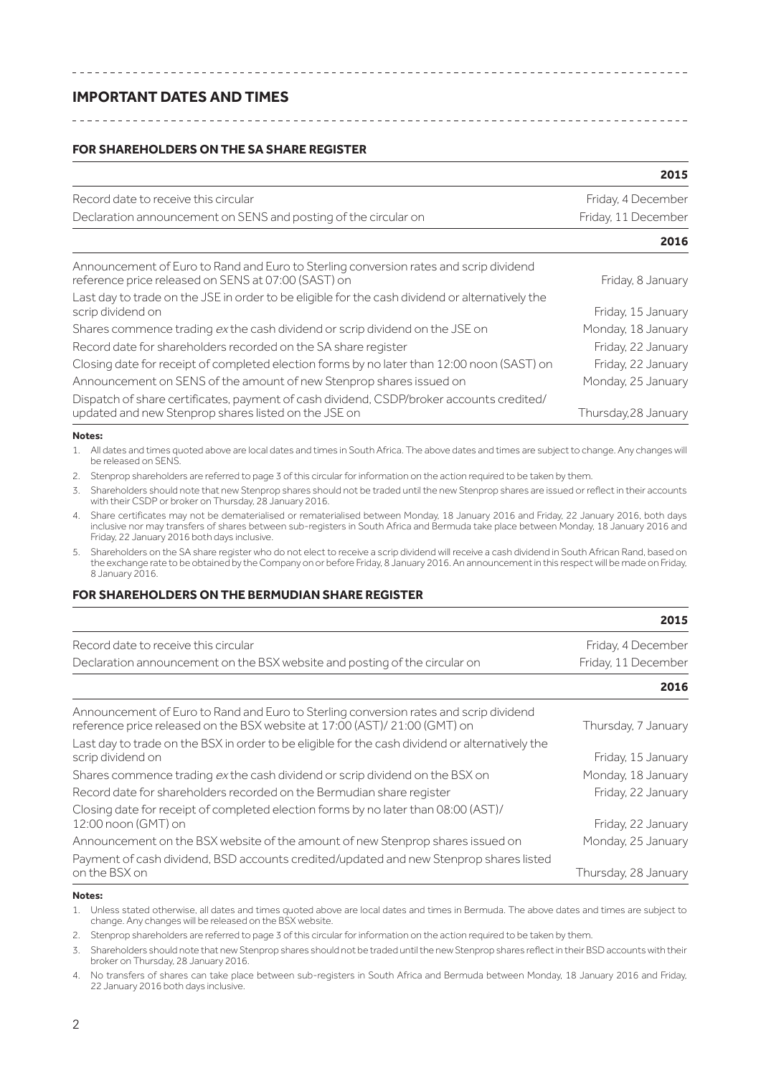# **IMPORTANT DATES AND TIMES**

### **FOR SHAREHOLDERS ON THE SA SHARE REGISTER**

|                                                                                                                                                  | 2015                 |
|--------------------------------------------------------------------------------------------------------------------------------------------------|----------------------|
| Record date to receive this circular                                                                                                             | Friday, 4 December   |
| Declaration announcement on SENS and posting of the circular on                                                                                  | Friday, 11 December  |
|                                                                                                                                                  | 2016                 |
| Announcement of Euro to Rand and Euro to Sterling conversion rates and scrip dividend<br>reference price released on SENS at 07:00 (SAST) on     | Friday, 8 January    |
| Last day to trade on the JSE in order to be eligible for the cash dividend or alternatively the<br>scrip dividend on                             | Friday, 15 January   |
| Shares commence trading ex the cash dividend or scrip dividend on the JSE on                                                                     | Monday, 18 January   |
| Record date for shareholders recorded on the SA share register                                                                                   | Friday, 22 January   |
| Closing date for receipt of completed election forms by no later than 12:00 noon (SAST) on                                                       | Friday, 22 January   |
| Announcement on SENS of the amount of new Stenprop shares issued on                                                                              | Monday, 25 January   |
| Dispatch of share certificates, payment of cash dividend, CSDP/broker accounts credited/<br>updated and new Stenprop shares listed on the JSE on | Thursday, 28 January |
| Notes:                                                                                                                                           |                      |

1. All dates and times quoted above are local dates and times in South Africa. The above dates and times are subject to change. Any changes will be released on SENS.

2. Stenprop shareholders are referred to page 3 of this circular for information on the action required to be taken by them.

3. Shareholders should note that new Stenprop shares should not be traded until the new Stenprop shares are issued or reflect in their accounts with their CSDP or broker on Thursday, 28 January 2016.

4. Share certificates may not be dematerialised or rematerialised between Monday, 18 January 2016 and Friday, 22 January 2016, both days inclusive nor may transfers of shares between sub-registers in South Africa and Bermuda take place between Monday, 18 January 2016 and Friday, 22 January 2016 both days inclusive.

5. Shareholders on the SA share register who do not elect to receive a scrip dividend will receive a cash dividend in South African Rand, based on the exchange rate to be obtained by the Company on or before Friday, 8 January 2016. An announcement in this respect will be made on Friday, 8 January 2016.

**2015**

# **FOR SHAREHOLDERS ON THE BERMUDIAN SHARE REGISTER**

|                                                                                                                                                                     | 2015                 |  |
|---------------------------------------------------------------------------------------------------------------------------------------------------------------------|----------------------|--|
| Record date to receive this circular                                                                                                                                | Friday, 4 December   |  |
| Declaration announcement on the BSX website and posting of the circular on                                                                                          | Friday, 11 December  |  |
|                                                                                                                                                                     | 2016                 |  |
| Announcement of Euro to Rand and Euro to Sterling conversion rates and scrip dividend<br>reference price released on the BSX website at 17:00 (AST)/ 21:00 (GMT) on | Thursday, 7 January  |  |
| Last day to trade on the BSX in order to be eligible for the cash dividend or alternatively the<br>scrip dividend on                                                | Friday, 15 January   |  |
| Shares commence trading ex the cash dividend or scrip dividend on the BSX on                                                                                        | Monday, 18 January   |  |
| Record date for shareholders recorded on the Bermudian share register                                                                                               | Friday, 22 January   |  |
| Closing date for receipt of completed election forms by no later than 08:00 (AST)/<br>12:00 noon (GMT) on                                                           | Friday, 22 January   |  |
| Announcement on the BSX website of the amount of new Stenprop shares issued on                                                                                      | Monday, 25 January   |  |
| Payment of cash dividend, BSD accounts credited/updated and new Stenprop shares listed                                                                              |                      |  |
| on the BSX on                                                                                                                                                       | Thursday, 28 January |  |

**Notes:**

1. Unless stated otherwise, all dates and times quoted above are local dates and times in Bermuda. The above dates and times are subject to change. Any changes will be released on the BSX website.

2. Stenprop shareholders are referred to page 3 of this circular for information on the action required to be taken by them.

3. Shareholders should note that new Stenprop shares should not be traded until the new Stenprop shares reflect in their BSD accounts with their broker on Thursday, 28 January 2016.

4. No transfers of shares can take place between sub-registers in South Africa and Bermuda between Monday, 18 January 2016 and Friday, 22 January 2016 both days inclusive.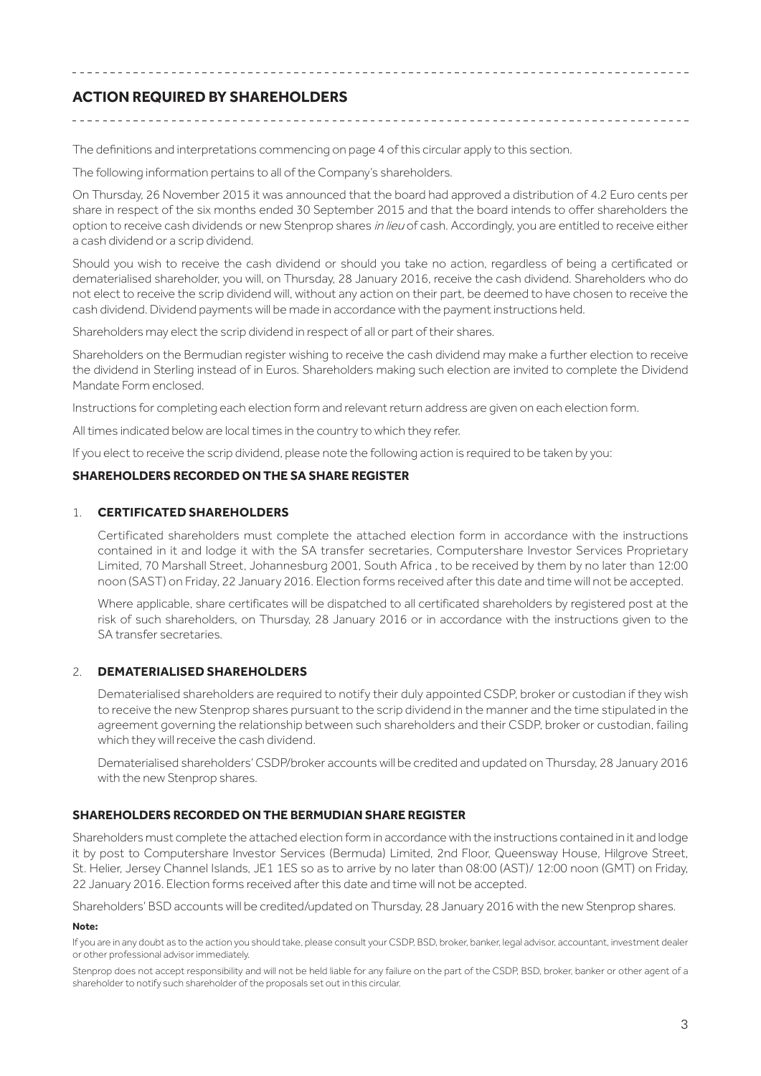# **ACTION REQUIRED BY SHAREHOLDERS**

The definitions and interpretations commencing on page 4 of this circular apply to this section.

The following information pertains to all of the Company's shareholders.

On Thursday, 26 November 2015 it was announced that the board had approved a distribution of 4.2 Euro cents per share in respect of the six months ended 30 September 2015 and that the board intends to offer shareholders the option to receive cash dividends or new Stenprop shares in lieu of cash. Accordingly, you are entitled to receive either a cash dividend or a scrip dividend.

Should you wish to receive the cash dividend or should you take no action, regardless of being a certificated or dematerialised shareholder, you will, on Thursday, 28 January 2016, receive the cash dividend. Shareholders who do not elect to receive the scrip dividend will, without any action on their part, be deemed to have chosen to receive the cash dividend. Dividend payments will be made in accordance with the payment instructions held.

Shareholders may elect the scrip dividend in respect of all or part of their shares.

Shareholders on the Bermudian register wishing to receive the cash dividend may make a further election to receive the dividend in Sterling instead of in Euros. Shareholders making such election are invited to complete the Dividend Mandate Form enclosed.

Instructions for completing each election form and relevant return address are given on each election form.

All times indicated below are local times in the country to which they refer.

If you elect to receive the scrip dividend, please note the following action is required to be taken by you:

### **SHAREHOLDERS RECORDED ON THE SA SHARE REGISTER**

### 1. **CERTIFICATED SHAREHOLDERS**

Certificated shareholders must complete the attached election form in accordance with the instructions contained in it and lodge it with the SA transfer secretaries, Computershare Investor Services Proprietary Limited, 70 Marshall Street, Johannesburg 2001, South Africa , to be received by them by no later than 12:00 noon (SAST) on Friday, 22 January 2016. Election forms received after this date and time will not be accepted.

Where applicable, share certificates will be dispatched to all certificated shareholders by registered post at the risk of such shareholders, on Thursday, 28 January 2016 or in accordance with the instructions given to the SA transfer secretaries.

### 2. **DEMATERIALISED SHAREHOLDERS**

Dematerialised shareholders are required to notify their duly appointed CSDP, broker or custodian if they wish to receive the new Stenprop shares pursuant to the scrip dividend in the manner and the time stipulated in the agreement governing the relationship between such shareholders and their CSDP, broker or custodian, failing which they will receive the cash dividend.

Dematerialised shareholders' CSDP/broker accounts will be credited and updated on Thursday, 28 January 2016 with the new Stenprop shares.

# **SHAREHOLDERS RECORDED ON THE BERMUDIAN SHARE REGISTER**

Shareholders must complete the attached election form in accordance with the instructions contained in it and lodge it by post to Computershare Investor Services (Bermuda) Limited, 2nd Floor, Queensway House, Hilgrove Street, St. Helier, Jersey Channel Islands, JE1 1ES so as to arrive by no later than 08:00 (AST)/ 12:00 noon (GMT) on Friday, 22 January 2016. Election forms received after this date and time will not be accepted.

Shareholders' BSD accounts will be credited/updated on Thursday, 28 January 2016 with the new Stenprop shares.

#### **Note:**

If you are in any doubt as to the action you should take, please consult your CSDP, BSD, broker, banker, legal advisor, accountant, investment dealer or other professional advisor immediately.

Stenprop does not accept responsibility and will not be held liable for any failure on the part of the CSDP, BSD, broker, banker or other agent of a shareholder to notify such shareholder of the proposals set out in this circular.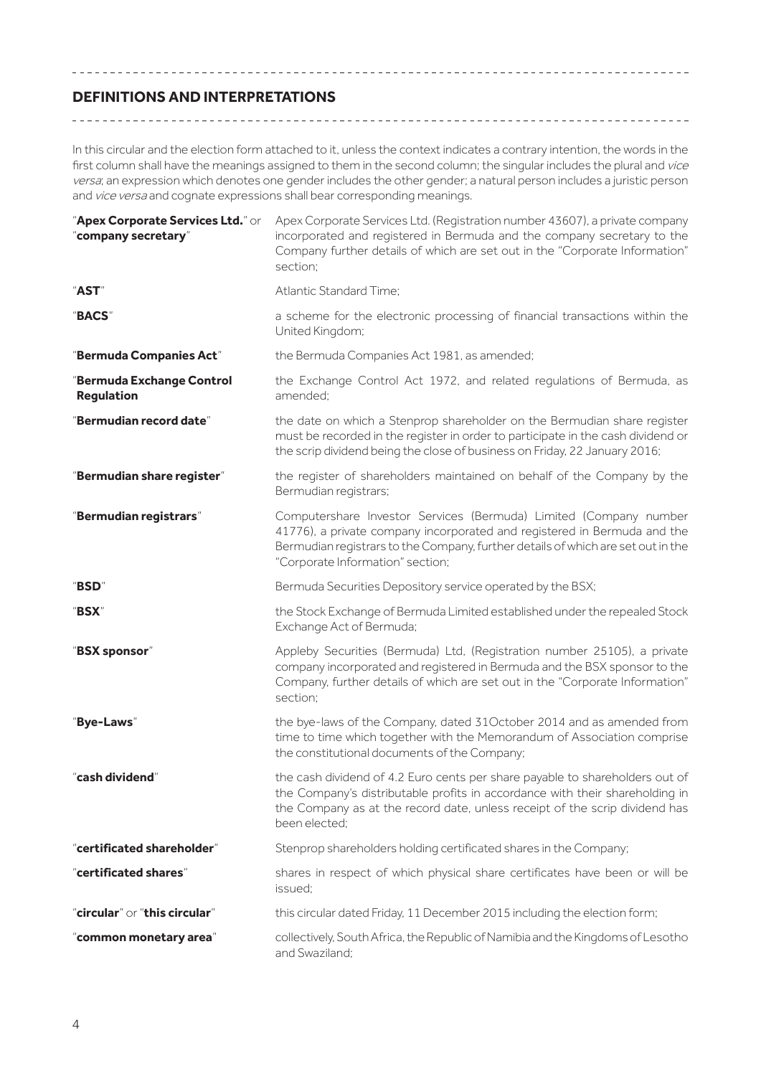# **DEFINITIONS AND INTERPRETATIONS**

In this circular and the election form attached to it, unless the context indicates a contrary intention, the words in the first column shall have the meanings assigned to them in the second column; the singular includes the plural and vice versa; an expression which denotes one gender includes the other gender; a natural person includes a juristic person and vice versa and cognate expressions shall bear corresponding meanings.

| "Apex Corporate Services Ltd." or<br>"company secretary" | Apex Corporate Services Ltd. (Registration number 43607), a private company<br>incorporated and registered in Bermuda and the company secretary to the<br>Company further details of which are set out in the "Corporate Information"<br>section;                     |
|----------------------------------------------------------|-----------------------------------------------------------------------------------------------------------------------------------------------------------------------------------------------------------------------------------------------------------------------|
| "AST"                                                    | Atlantic Standard Time;                                                                                                                                                                                                                                               |
| "BACS"                                                   | a scheme for the electronic processing of financial transactions within the<br>United Kingdom;                                                                                                                                                                        |
| "Bermuda Companies Act"                                  | the Bermuda Companies Act 1981, as amended;                                                                                                                                                                                                                           |
| "Bermuda Exchange Control<br>Regulation                  | the Exchange Control Act 1972, and related regulations of Bermuda, as<br>amended:                                                                                                                                                                                     |
| "Bermudian record date"                                  | the date on which a Stenprop shareholder on the Bermudian share register<br>must be recorded in the register in order to participate in the cash dividend or<br>the scrip dividend being the close of business on Friday, 22 January 2016;                            |
| "Bermudian share register"                               | the register of shareholders maintained on behalf of the Company by the<br>Bermudian registrars;                                                                                                                                                                      |
| "Bermudian registrars"                                   | Computershare Investor Services (Bermuda) Limited (Company number<br>41776), a private company incorporated and registered in Bermuda and the<br>Bermudian registrars to the Company, further details of which are set out in the<br>"Corporate Information" section; |
| "BSD"                                                    | Bermuda Securities Depository service operated by the BSX;                                                                                                                                                                                                            |
| "BSX"                                                    | the Stock Exchange of Bermuda Limited established under the repealed Stock<br>Exchange Act of Bermuda;                                                                                                                                                                |
| "BSX sponsor"                                            | Appleby Securities (Bermuda) Ltd, (Registration number 25105), a private<br>company incorporated and registered in Bermuda and the BSX sponsor to the<br>Company, further details of which are set out in the "Corporate Information"<br>section;                     |
| "Bye-Laws"                                               | the bye-laws of the Company, dated 31October 2014 and as amended from<br>time to time which together with the Memorandum of Association comprise<br>the constitutional documents of the Company;                                                                      |
| "cash dividend"                                          | the cash dividend of 4.2 Euro cents per share payable to shareholders out of<br>the Company's distributable profits in accordance with their shareholding in<br>the Company as at the record date, unless receipt of the scrip dividend has<br>been elected;          |
| "certificated shareholder"                               | Stenprop shareholders holding certificated shares in the Company;                                                                                                                                                                                                     |
| "certificated shares"                                    | shares in respect of which physical share certificates have been or will be<br>issued;                                                                                                                                                                                |
| "circular" or "this circular"                            | this circular dated Friday, 11 December 2015 including the election form;                                                                                                                                                                                             |
| "common monetary area"                                   | collectively, South Africa, the Republic of Namibia and the Kingdoms of Lesotho<br>and Swaziland:                                                                                                                                                                     |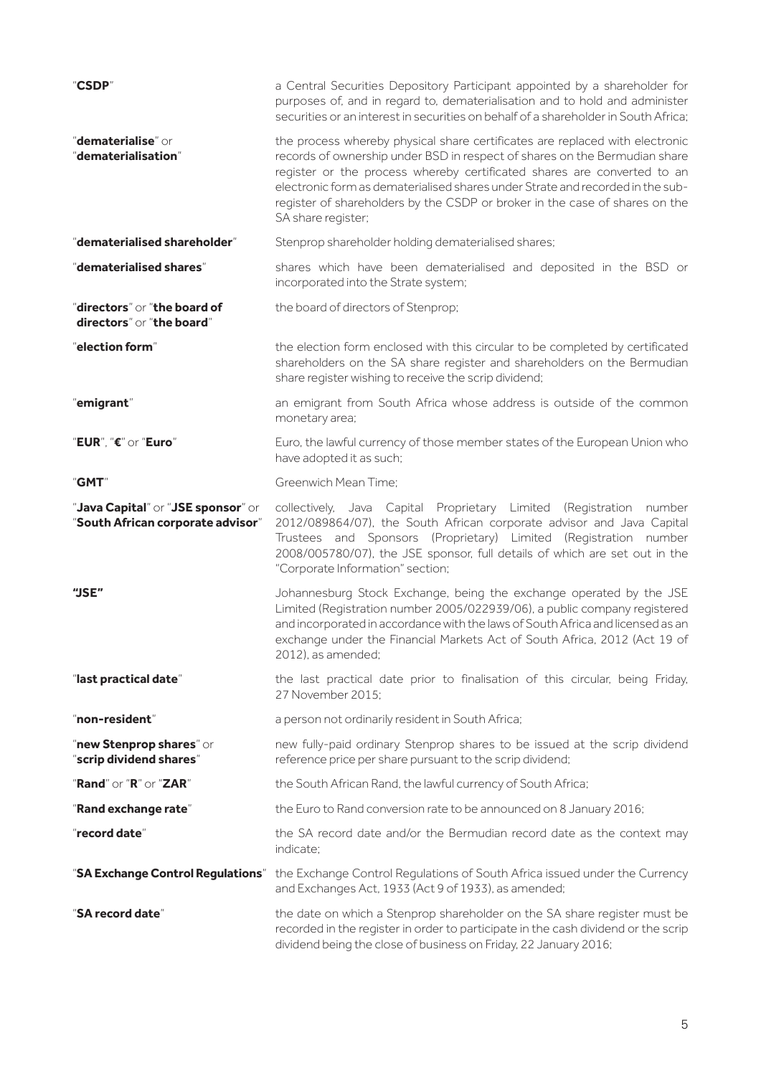| "CSDP"                                                                  | a Central Securities Depository Participant appointed by a shareholder for<br>purposes of, and in regard to, dematerialisation and to hold and administer<br>securities or an interest in securities on behalf of a shareholder in South Africa;                                                                                                                                                                             |
|-------------------------------------------------------------------------|------------------------------------------------------------------------------------------------------------------------------------------------------------------------------------------------------------------------------------------------------------------------------------------------------------------------------------------------------------------------------------------------------------------------------|
| "dematerialise" or<br>"dematerialisation"                               | the process whereby physical share certificates are replaced with electronic<br>records of ownership under BSD in respect of shares on the Bermudian share<br>register or the process whereby certificated shares are converted to an<br>electronic form as dematerialised shares under Strate and recorded in the sub-<br>register of shareholders by the CSDP or broker in the case of shares on the<br>SA share register; |
| "dematerialised shareholder"                                            | Stenprop shareholder holding dematerialised shares;                                                                                                                                                                                                                                                                                                                                                                          |
| "dematerialised shares"                                                 | shares which have been dematerialised and deposited in the BSD or<br>incorporated into the Strate system;                                                                                                                                                                                                                                                                                                                    |
| "directors" or "the board of<br>directors" or "the board"               | the board of directors of Stenprop;                                                                                                                                                                                                                                                                                                                                                                                          |
| $"$ election form $"$                                                   | the election form enclosed with this circular to be completed by certificated<br>shareholders on the SA share register and shareholders on the Bermudian<br>share register wishing to receive the scrip dividend;                                                                                                                                                                                                            |
| "emigrant"                                                              | an emigrant from South Africa whose address is outside of the common<br>monetary area;                                                                                                                                                                                                                                                                                                                                       |
| "EUR", "€" or "Euro"                                                    | Euro, the lawful currency of those member states of the European Union who<br>have adopted it as such;                                                                                                                                                                                                                                                                                                                       |
| "GMT"                                                                   | Greenwich Mean Time:                                                                                                                                                                                                                                                                                                                                                                                                         |
| "Java Capital" or "JSE sponsor" or<br>"South African corporate advisor" | collectively, Java Capital Proprietary Limited (Registration number<br>2012/089864/07), the South African corporate advisor and Java Capital<br>Trustees and Sponsors (Proprietary) Limited (Registration number<br>2008/005780/07), the JSE sponsor, full details of which are set out in the<br>"Corporate Information" section;                                                                                           |
| "JSE"                                                                   | Johannesburg Stock Exchange, being the exchange operated by the JSE<br>Limited (Registration number 2005/022939/06), a public company registered<br>and incorporated in accordance with the laws of South Africa and licensed as an<br>exchange under the Financial Markets Act of South Africa, 2012 (Act 19 of<br>2012), as amended;                                                                                       |
| "last practical date"                                                   | the last practical date prior to finalisation of this circular, being Friday,<br>27 November 2015:                                                                                                                                                                                                                                                                                                                           |
| $"$ non-resident $"$                                                    | a person not ordinarily resident in South Africa;                                                                                                                                                                                                                                                                                                                                                                            |
| "new Stenprop shares" or<br>"scrip dividend shares"                     | new fully-paid ordinary Stenprop shares to be issued at the scrip dividend<br>reference price per share pursuant to the scrip dividend;                                                                                                                                                                                                                                                                                      |
| $"Rand"$ or $"R"$ or $"ZAR"$                                            | the South African Rand, the lawful currency of South Africa;                                                                                                                                                                                                                                                                                                                                                                 |
| "Rand exchange rate"                                                    | the Euro to Rand conversion rate to be announced on 8 January 2016;                                                                                                                                                                                                                                                                                                                                                          |
| "record date"                                                           | the SA record date and/or the Bermudian record date as the context may<br>indicate:                                                                                                                                                                                                                                                                                                                                          |
| "SA Exchange Control Regulations"                                       | the Exchange Control Regulations of South Africa issued under the Currency<br>and Exchanges Act, 1933 (Act 9 of 1933), as amended;                                                                                                                                                                                                                                                                                           |
| "SA record date"                                                        | the date on which a Stenprop shareholder on the SA share register must be<br>recorded in the register in order to participate in the cash dividend or the scrip<br>dividend being the close of business on Friday, 22 January 2016;                                                                                                                                                                                          |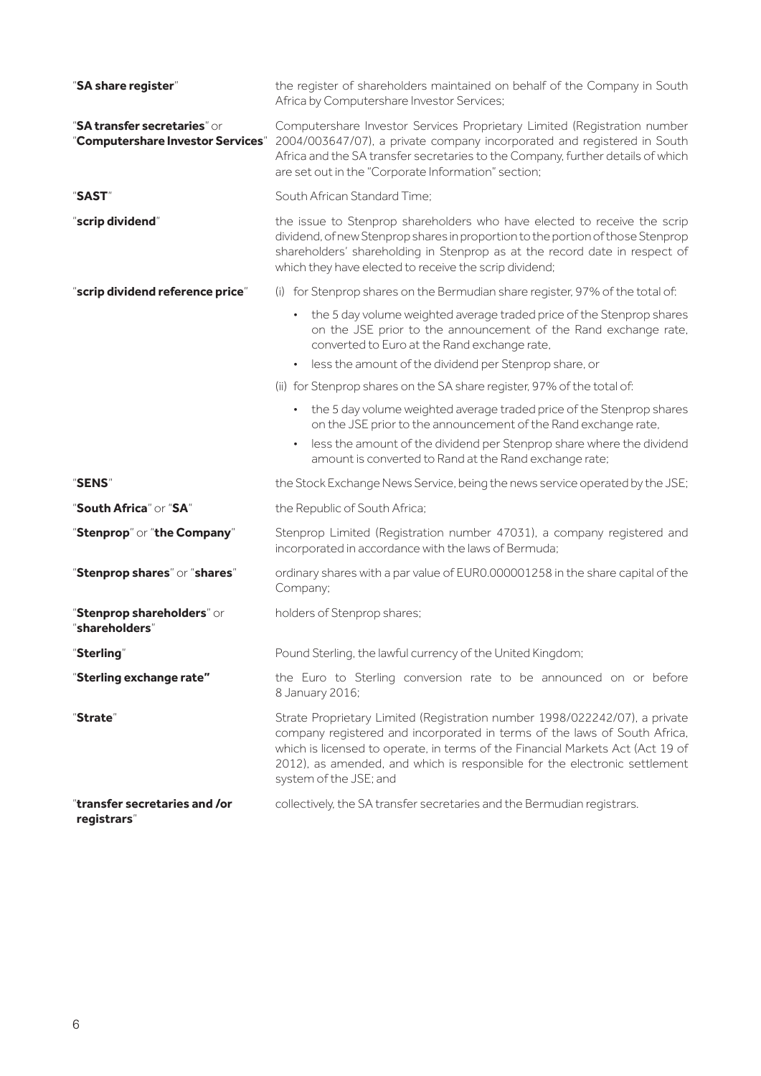| "SA share register"                                               | the register of shareholders maintained on behalf of the Company in South<br>Africa by Computershare Investor Services;<br>Computershare Investor Services Proprietary Limited (Registration number<br>2004/003647/07), a private company incorporated and registered in South<br>Africa and the SA transfer secretaries to the Company, further details of which<br>are set out in the "Corporate Information" section; |  |
|-------------------------------------------------------------------|--------------------------------------------------------------------------------------------------------------------------------------------------------------------------------------------------------------------------------------------------------------------------------------------------------------------------------------------------------------------------------------------------------------------------|--|
| "SA transfer secretaries" or<br>"Computershare Investor Services" |                                                                                                                                                                                                                                                                                                                                                                                                                          |  |
| "SAST"                                                            | South African Standard Time;                                                                                                                                                                                                                                                                                                                                                                                             |  |
| "scrip dividend"                                                  | the issue to Stenprop shareholders who have elected to receive the scrip<br>dividend, of new Stenprop shares in proportion to the portion of those Stenprop<br>shareholders' shareholding in Stenprop as at the record date in respect of<br>which they have elected to receive the scrip dividend;                                                                                                                      |  |
| "scrip dividend reference price"                                  | (i) for Stenprop shares on the Bermudian share register, 97% of the total of:                                                                                                                                                                                                                                                                                                                                            |  |
|                                                                   | the 5 day volume weighted average traded price of the Stenprop shares<br>on the JSE prior to the announcement of the Rand exchange rate,<br>converted to Euro at the Rand exchange rate,<br>less the amount of the dividend per Stenprop share, or<br>$\bullet$                                                                                                                                                          |  |
|                                                                   | (ii) for Stenprop shares on the SA share register, 97% of the total of:                                                                                                                                                                                                                                                                                                                                                  |  |
|                                                                   | • the 5 day volume weighted average traded price of the Stenprop shares<br>on the JSE prior to the announcement of the Rand exchange rate,<br>less the amount of the dividend per Stenprop share where the dividend<br>$\bullet$<br>amount is converted to Rand at the Rand exchange rate;                                                                                                                               |  |
| "SENS"                                                            | the Stock Exchange News Service, being the news service operated by the JSE;                                                                                                                                                                                                                                                                                                                                             |  |
| "South Africa" or "SA"                                            | the Republic of South Africa;                                                                                                                                                                                                                                                                                                                                                                                            |  |
| "Stenprop" or "the Company"                                       | Stenprop Limited (Registration number 47031), a company registered and<br>incorporated in accordance with the laws of Bermuda;                                                                                                                                                                                                                                                                                           |  |
| "Stenprop shares" or "shares"                                     | ordinary shares with a par value of EUR0.000001258 in the share capital of the<br>Company;                                                                                                                                                                                                                                                                                                                               |  |
| "Stenprop shareholders" or<br>"shareholders"                      | holders of Stenprop shares;                                                                                                                                                                                                                                                                                                                                                                                              |  |
| Sterling"                                                         | Pound Sterling, the lawful currency of the United Kingdom;                                                                                                                                                                                                                                                                                                                                                               |  |
| "Sterling exchange rate"                                          | the Euro to Sterling conversion rate to be announced on or before<br>8 January 2016;                                                                                                                                                                                                                                                                                                                                     |  |
| "Strate"                                                          | Strate Proprietary Limited (Registration number 1998/022242/07), a private<br>company registered and incorporated in terms of the laws of South Africa,<br>which is licensed to operate, in terms of the Financial Markets Act (Act 19 of<br>2012), as amended, and which is responsible for the electronic settlement<br>system of the JSE; and                                                                         |  |
| "transfer secretaries and /or<br>registrars"                      | collectively, the SA transfer secretaries and the Bermudian registrars.                                                                                                                                                                                                                                                                                                                                                  |  |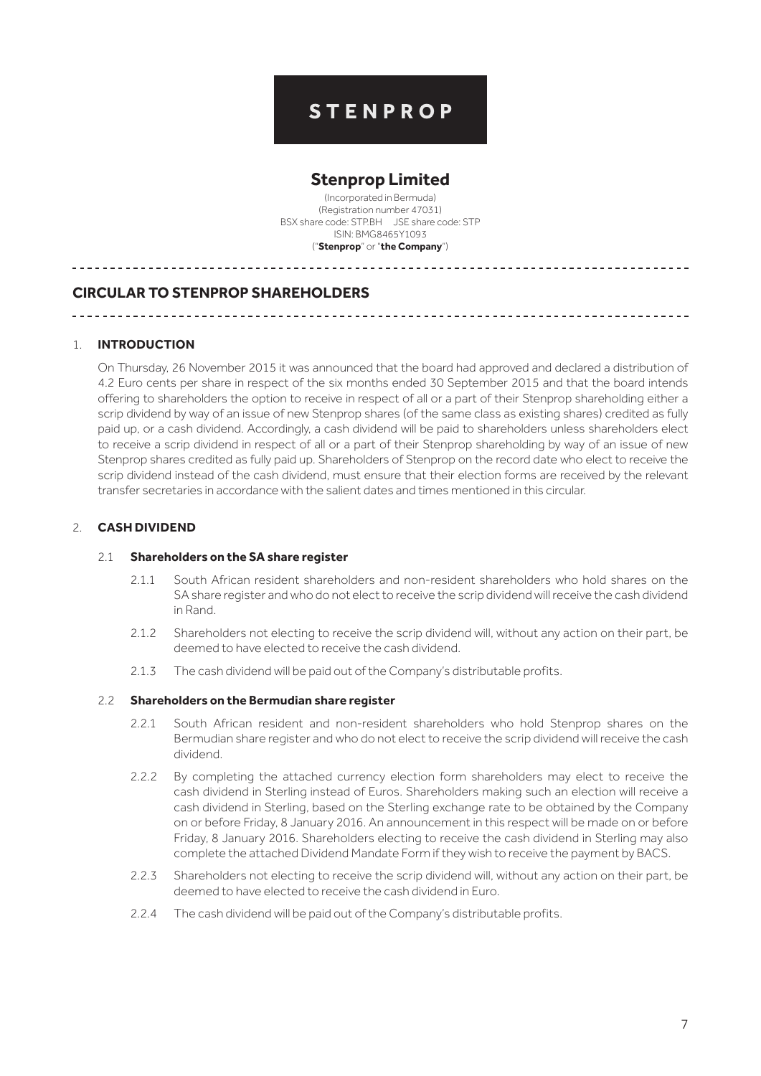# **STENPROP**

# **Stenprop Limited**

(Incorporated in Bermuda) (Registration number 47031) BSX share code: STP.BH JSE share code: STP ISIN: BMG8465Y1093 ("**Stenprop**" or "**the Company**")

# **CIRCULAR TO STENPROP SHAREHOLDERS**

\_\_\_\_\_\_\_\_\_\_\_\_\_\_\_\_\_\_

### 1. **INTRODUCTION**

On Thursday, 26 November 2015 it was announced that the board had approved and declared a distribution of 4.2 Euro cents per share in respect of the six months ended 30 September 2015 and that the board intends offering to shareholders the option to receive in respect of all or a part of their Stenprop shareholding either a scrip dividend by way of an issue of new Stenprop shares (of the same class as existing shares) credited as fully paid up, or a cash dividend. Accordingly, a cash dividend will be paid to shareholders unless shareholders elect to receive a scrip dividend in respect of all or a part of their Stenprop shareholding by way of an issue of new Stenprop shares credited as fully paid up. Shareholders of Stenprop on the record date who elect to receive the scrip dividend instead of the cash dividend, must ensure that their election forms are received by the relevant transfer secretaries in accordance with the salient dates and times mentioned in this circular.

# 2. **CASH DIVIDEND**

#### 2.1 **Shareholders on the SA share register**

- 2.1.1 South African resident shareholders and non-resident shareholders who hold shares on the SA share register and who do not elect to receive the scrip dividend will receive the cash dividend in Rand.
- 2.1.2 Shareholders not electing to receive the scrip dividend will, without any action on their part, be deemed to have elected to receive the cash dividend.
- 2.1.3 The cash dividend will be paid out of the Company's distributable profits.

#### 2.2 **Shareholders on the Bermudian share register**

- 2.2.1 South African resident and non-resident shareholders who hold Stenprop shares on the Bermudian share register and who do not elect to receive the scrip dividend will receive the cash dividend.
- 2.2.2 By completing the attached currency election form shareholders may elect to receive the cash dividend in Sterling instead of Euros. Shareholders making such an election will receive a cash dividend in Sterling, based on the Sterling exchange rate to be obtained by the Company on or before Friday, 8 January 2016. An announcement in this respect will be made on or before Friday, 8 January 2016. Shareholders electing to receive the cash dividend in Sterling may also complete the attached Dividend Mandate Form if they wish to receive the payment by BACS.
- 2.2.3 Shareholders not electing to receive the scrip dividend will, without any action on their part, be deemed to have elected to receive the cash dividend in Euro.
- 2.2.4 The cash dividend will be paid out of the Company's distributable profits.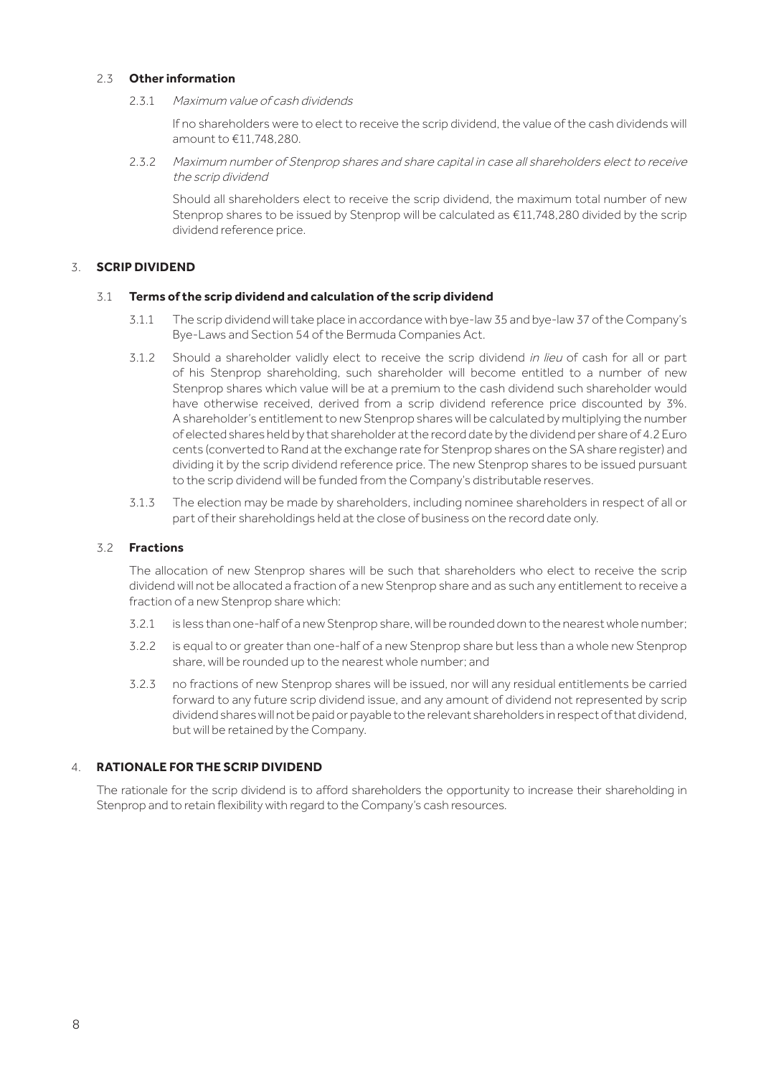### 2.3 **Other information**

2.3.1 Maximum value of cash dividends

If no shareholders were to elect to receive the scrip dividend, the value of the cash dividends will amount to €11,748,280.

2.3.2 Maximum number of Stenprop shares and share capital in case all shareholders elect to receive the scrip dividend

Should all shareholders elect to receive the scrip dividend, the maximum total number of new Stenprop shares to be issued by Stenprop will be calculated as  $\epsilon$ 11,748,280 divided by the scrip dividend reference price.

# 3. **SCRIP DIVIDEND**

### 3.1 **Terms of the scrip dividend and calculation of the scrip dividend**

- 3.1.1 The scrip dividend will take place in accordance with bye-law35 and bye-law37 of the Company's Bye-Laws and Section 54 of the Bermuda Companies Act.
- 3.1.2 Should a shareholder validly elect to receive the scrip dividend in lieu of cash for all or part of his Stenprop shareholding, such shareholder will become entitled to a number of new Stenprop shares which value will be at a premium to the cash dividend such shareholder would have otherwise received, derived from a scrip dividend reference price discounted by 3%. A shareholder's entitlement to new Stenprop shares will be calculated by multiplying the number of elected shares held by that shareholder at the record date by the dividend per share of 4.2 Euro cents (converted to Rand at the exchange rate for Stenprop shares on the SA share register) and dividing it by the scrip dividend reference price. The new Stenprop shares to be issued pursuant to the scrip dividend will be funded from the Company's distributable reserves.
- 3.1.3 The election may be made by shareholders, including nominee shareholders in respect of all or part of their shareholdings held at the close of business on the record date only.

# 3.2 **Fractions**

The allocation of new Stenprop shares will be such that shareholders who elect to receive the scrip dividend will not be allocated a fraction of a new Stenprop share and as such any entitlement to receive a fraction of a new Stenprop share which:

- 3.2.1 is less than one-half of a new Stenprop share, will be rounded down to the nearest whole number;
- 3.2.2 is equal to or greater than one-half of a new Stenprop share but less than a whole new Stenprop share, will be rounded up to the nearest whole number; and
- 3.2.3 no fractions of new Stenprop shares will be issued, nor will any residual entitlements be carried forward to any future scrip dividend issue, and any amount of dividend not represented by scrip dividend shares will not be paid or payable to the relevant shareholders in respect of that dividend, but will be retained by the Company.

# 4. **RATIONALE FOR THE SCRIP DIVIDEND**

The rationale for the scrip dividend is to afford shareholders the opportunity to increase their shareholding in Stenprop and to retain flexibility with regard to the Company's cash resources.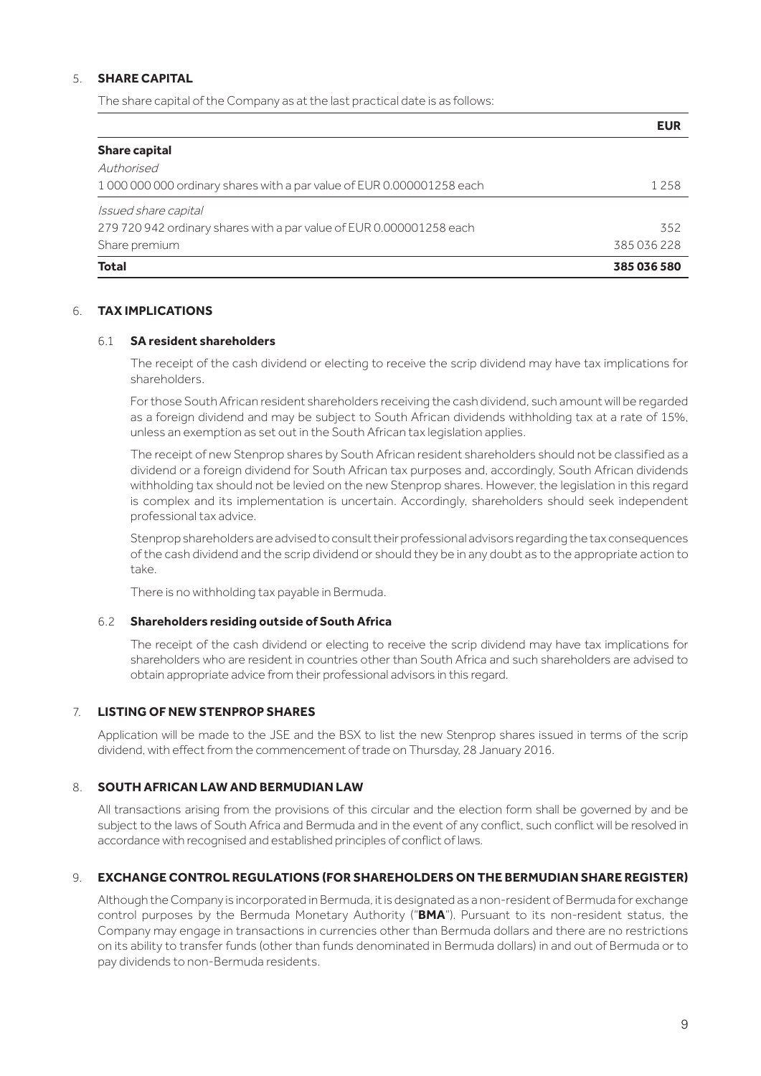# 5. **SHARE CAPITAL**

The share capital of the Company as at the last practical date is as follows:

|                                                                       | <b>EUR</b>  |
|-----------------------------------------------------------------------|-------------|
| <b>Share capital</b>                                                  |             |
| Authorised                                                            |             |
| 100000000000 ordinary shares with a par value of EUR 0.000001258 each | 1 2 5 8     |
| Issued share capital                                                  |             |
| 279 720 942 ordinary shares with a par value of EUR 0.000001258 each  | 352         |
| Share premium                                                         | 385036228   |
| <b>Total</b>                                                          | 385 036 580 |

### 6. **TAX IMPLICATIONS**

### 6.1 **SA resident shareholders**

The receipt of the cash dividend or electing to receive the scrip dividend may have tax implications for shareholders.

For those South African resident shareholders receiving the cash dividend, such amount will be regarded as a foreign dividend and may be subject to South African dividends withholding tax at a rate of 15%, unless an exemption as set out in the South African tax legislation applies.

The receipt of new Stenprop shares by South African resident shareholders should not be classified as a dividend or a foreign dividend for South African tax purposes and, accordingly, South African dividends withholding tax should not be levied on the new Stenprop shares. However, the legislation in this regard is complex and its implementation is uncertain. Accordingly, shareholders should seek independent professional tax advice.

Stenprop shareholders are advised to consult their professional advisors regarding the tax consequences of the cash dividend and the scrip dividend or should they be in any doubt as to the appropriate action to take.

There is no withholding tax payable in Bermuda.

### 6.2 **Shareholders residing outside of South Africa**

The receipt of the cash dividend or electing to receive the scrip dividend may have tax implications for shareholders who are resident in countries other than South Africa and such shareholders are advised to obtain appropriate advice from their professional advisors in this regard.

# 7. **LISTING OF NEW STENPROP SHARES**

Application will be made to the JSE and the BSX to list the new Stenprop shares issued in terms of the scrip dividend, with effect from the commencement of trade on Thursday, 28 January 2016.

### 8. **SOUTH AFRICAN LAW AND BERMUDIAN LAW**

All transactions arising from the provisions of this circular and the election form shall be governed by and be subject to the laws of South Africa and Bermuda and in the event of any conflict, such conflict will be resolved in accordance with recognised and established principles of conflict of laws.

### 9. **EXCHANGE CONTROL REGULATIONS (FOR SHAREHOLDERS ON THE BERMUDIAN SHARE REGISTER)**

Although the Company is incorporated in Bermuda, it is designated as a non-resident of Bermuda for exchange control purposes by the Bermuda Monetary Authority ("**BMA**"). Pursuant to its non-resident status, the Company may engage in transactions in currencies other than Bermuda dollars and there are no restrictions on its ability to transfer funds (other than funds denominated in Bermuda dollars) in and out of Bermuda or to pay dividends to non-Bermuda residents.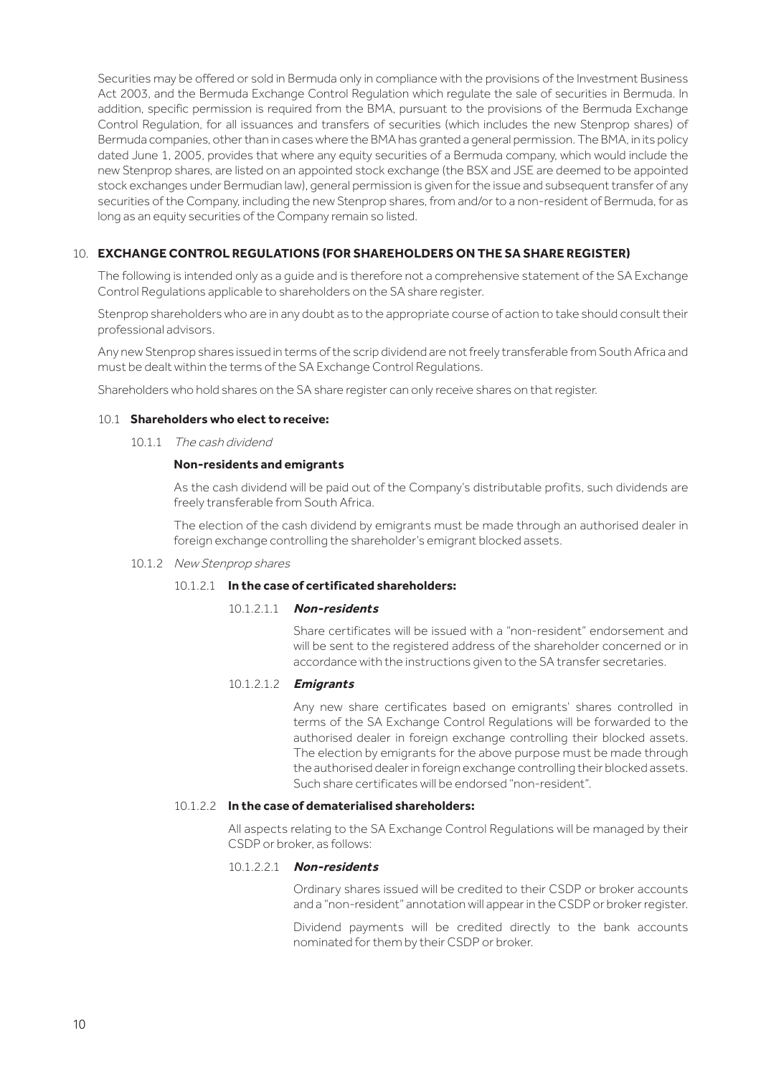Securities may be offered or sold in Bermuda only in compliance with the provisions of the Investment Business Act 2003, and the Bermuda Exchange Control Regulation which regulate the sale of securities in Bermuda. In addition, specific permission is required from the BMA, pursuant to the provisions of the Bermuda Exchange Control Regulation, for all issuances and transfers of securities (which includes the new Stenprop shares) of Bermuda companies, other than in cases where the BMA has granted a general permission. The BMA, in its policy dated June 1, 2005, provides that where any equity securities of a Bermuda company, which would include the new Stenprop shares, are listed on an appointed stock exchange (the BSX and JSE are deemed to be appointed stock exchanges under Bermudian law), general permission is given for the issue and subsequent transfer of any securities of the Company, including the new Stenprop shares, from and/or to a non-resident of Bermuda, for as long as an equity securities of the Company remain so listed.

# 10. **EXCHANGE CONTROL REGULATIONS (FOR SHAREHOLDERS ON THE SA SHARE REGISTER)**

The following is intended only as a guide and is therefore not a comprehensive statement of the SA Exchange Control Regulations applicable to shareholders on the SA share register.

Stenprop shareholders who are in any doubt as to the appropriate course of action to take should consult their professional advisors.

Any new Stenprop shares issued in terms of the scrip dividend are not freely transferable from South Africa and must be dealt within the terms of the SA Exchange Control Regulations.

Shareholders who hold shares on the SA share register can only receive shares on that register.

### 10.1 **Shareholders who elect to receive:**

10.1.1 The cash dividend

### **Non-residents and emigrants**

As the cash dividend will be paid out of the Company's distributable profits, such dividends are freely transferable from South Africa.

The election of the cash dividend by emigrants must be made through an authorised dealer in foreign exchange controlling the shareholder's emigrant blocked assets.

10.1.2 New Stenprop shares

### 10.1.2.1 **In the case of certificated shareholders:**

### 10.1.2.1.1 **Non-residents**

Share certificates will be issued with a "non-resident" endorsement and will be sent to the registered address of the shareholder concerned or in accordance with the instructions given to the SA transfer secretaries.

### 10.1.2.1.2 **Emigrants**

Any new share certificates based on emigrants' shares controlled in terms of the SA Exchange Control Regulations will be forwarded to the authorised dealer in foreign exchange controlling their blocked assets. The election by emigrants for the above purpose must be made through the authorised dealer in foreign exchange controlling their blocked assets. Such share certificates will be endorsed "non-resident".

### 10.1.2.2 **In the case of dematerialised shareholders:**

All aspects relating to the SA Exchange Control Regulations will be managed by their CSDP or broker, as follows:

### 10.1.2.2.1 **Non-residents**

Ordinary shares issued will be credited to their CSDP or broker accounts and a "non-resident" annotation will appear in the CSDP or broker register.

Dividend payments will be credited directly to the bank accounts nominated for them by their CSDP or broker.